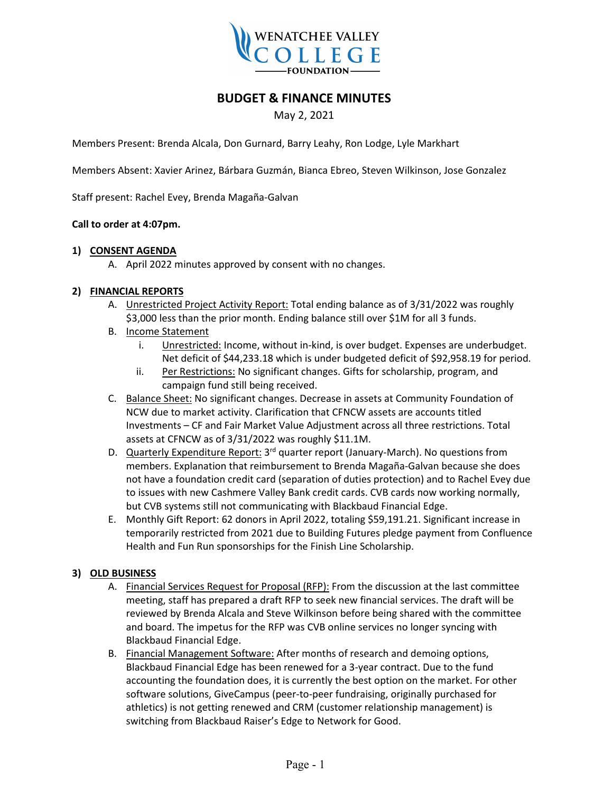

# **BUDGET & FINANCE MINUTES**

## May 2, 2021

Members Present: Brenda Alcala, Don Gurnard, Barry Leahy, Ron Lodge, Lyle Markhart

Members Absent: Xavier Arinez, Bárbara Guzmán, Bianca Ebreo, Steven Wilkinson, Jose Gonzalez

Staff present: Rachel Evey, Brenda Magaña-Galvan

#### **Call to order at 4:07pm.**

#### **1) CONSENT AGENDA**

A. April 2022 minutes approved by consent with no changes.

#### **2) FINANCIAL REPORTS**

- A. Unrestricted Project Activity Report: Total ending balance as of 3/31/2022 was roughly \$3,000 less than the prior month. Ending balance still over \$1M for all 3 funds.
- B. Income Statement
	- i. Unrestricted: Income, without in-kind, is over budget. Expenses are underbudget. Net deficit of \$44,233.18 which is under budgeted deficit of \$92,958.19 for period.
	- ii. Per Restrictions: No significant changes. Gifts for scholarship, program, and campaign fund still being received.
- C. Balance Sheet: No significant changes. Decrease in assets at Community Foundation of NCW due to market activity. Clarification that CFNCW assets are accounts titled Investments – CF and Fair Market Value Adjustment across all three restrictions. Total assets at CFNCW as of 3/31/2022 was roughly \$11.1M.
- D. Quarterly Expenditure Report:  $3<sup>rd</sup>$  quarter report (January-March). No questions from members. Explanation that reimbursement to Brenda Magaña-Galvan because she does not have a foundation credit card (separation of duties protection) and to Rachel Evey due to issues with new Cashmere Valley Bank credit cards. CVB cards now working normally, but CVB systems still not communicating with Blackbaud Financial Edge.
- E. Monthly Gift Report: 62 donors in April 2022, totaling \$59,191.21. Significant increase in temporarily restricted from 2021 due to Building Futures pledge payment from Confluence Health and Fun Run sponsorships for the Finish Line Scholarship.

### **3) OLD BUSINESS**

- A. Financial Services Request for Proposal (RFP): From the discussion at the last committee meeting, staff has prepared a draft RFP to seek new financial services. The draft will be reviewed by Brenda Alcala and Steve Wilkinson before being shared with the committee and board. The impetus for the RFP was CVB online services no longer syncing with Blackbaud Financial Edge.
- B. Financial Management Software: After months of research and demoing options, Blackbaud Financial Edge has been renewed for a 3-year contract. Due to the fund accounting the foundation does, it is currently the best option on the market. For other software solutions, GiveCampus (peer-to-peer fundraising, originally purchased for athletics) is not getting renewed and CRM (customer relationship management) is switching from Blackbaud Raiser's Edge to Network for Good.